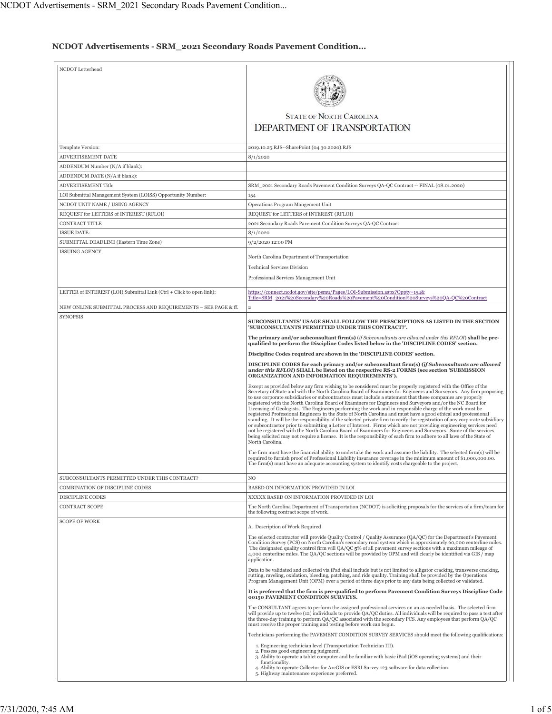## **NCDOT Advertisements - SRM\_2021 Secondary Roads Pavement Condition...**

| NCDOT Letterhead                                                     | <b>STATE OF NORTH CAROLINA</b>                                                                                                                                                                                                                                                                                                                                                                                                                                                                                                                                                                                                                                                                                                                                                                                                                                                                                                                                                                                                                                                                                                                                                                                                                                                                                                           |
|----------------------------------------------------------------------|------------------------------------------------------------------------------------------------------------------------------------------------------------------------------------------------------------------------------------------------------------------------------------------------------------------------------------------------------------------------------------------------------------------------------------------------------------------------------------------------------------------------------------------------------------------------------------------------------------------------------------------------------------------------------------------------------------------------------------------------------------------------------------------------------------------------------------------------------------------------------------------------------------------------------------------------------------------------------------------------------------------------------------------------------------------------------------------------------------------------------------------------------------------------------------------------------------------------------------------------------------------------------------------------------------------------------------------|
|                                                                      | <b>DEPARTMENT OF TRANSPORTATION</b>                                                                                                                                                                                                                                                                                                                                                                                                                                                                                                                                                                                                                                                                                                                                                                                                                                                                                                                                                                                                                                                                                                                                                                                                                                                                                                      |
| Template Version:                                                    | 2019.10.25.RJS--SharePoint (04.30.2020).RJS                                                                                                                                                                                                                                                                                                                                                                                                                                                                                                                                                                                                                                                                                                                                                                                                                                                                                                                                                                                                                                                                                                                                                                                                                                                                                              |
| ADVERTISEMENT DATE                                                   | 8/1/2020                                                                                                                                                                                                                                                                                                                                                                                                                                                                                                                                                                                                                                                                                                                                                                                                                                                                                                                                                                                                                                                                                                                                                                                                                                                                                                                                 |
| ADDENDUM Number (N/A if blank):                                      |                                                                                                                                                                                                                                                                                                                                                                                                                                                                                                                                                                                                                                                                                                                                                                                                                                                                                                                                                                                                                                                                                                                                                                                                                                                                                                                                          |
| ADDENDUM DATE (N/A if blank):                                        |                                                                                                                                                                                                                                                                                                                                                                                                                                                                                                                                                                                                                                                                                                                                                                                                                                                                                                                                                                                                                                                                                                                                                                                                                                                                                                                                          |
| ADVERTISEMENT Title                                                  | SRM_2021 Secondary Roads Pavement Condition Surveys QA-QC Contract -- FINAL (08.01.2020)                                                                                                                                                                                                                                                                                                                                                                                                                                                                                                                                                                                                                                                                                                                                                                                                                                                                                                                                                                                                                                                                                                                                                                                                                                                 |
| LOI Submittal Management System (LOISS) Opportunity Number:          | 154                                                                                                                                                                                                                                                                                                                                                                                                                                                                                                                                                                                                                                                                                                                                                                                                                                                                                                                                                                                                                                                                                                                                                                                                                                                                                                                                      |
| NCDOT UNIT NAME / USING AGENCY                                       | Operations Program Mangement Unit                                                                                                                                                                                                                                                                                                                                                                                                                                                                                                                                                                                                                                                                                                                                                                                                                                                                                                                                                                                                                                                                                                                                                                                                                                                                                                        |
| REQUEST for LETTERS of INTEREST (RFLOI)                              | REQUEST for LETTERS of INTEREST (RFLOI)                                                                                                                                                                                                                                                                                                                                                                                                                                                                                                                                                                                                                                                                                                                                                                                                                                                                                                                                                                                                                                                                                                                                                                                                                                                                                                  |
| CONTRACT TITLE                                                       | 2021 Secondary Roads Pavement Condition Surveys QA-QC Contract                                                                                                                                                                                                                                                                                                                                                                                                                                                                                                                                                                                                                                                                                                                                                                                                                                                                                                                                                                                                                                                                                                                                                                                                                                                                           |
| <b>ISSUE DATE:</b>                                                   | 8/1/2020                                                                                                                                                                                                                                                                                                                                                                                                                                                                                                                                                                                                                                                                                                                                                                                                                                                                                                                                                                                                                                                                                                                                                                                                                                                                                                                                 |
| SUBMITTAL DEADLINE (Eastern Time Zone)                               | 9/2/2020 12:00 PM                                                                                                                                                                                                                                                                                                                                                                                                                                                                                                                                                                                                                                                                                                                                                                                                                                                                                                                                                                                                                                                                                                                                                                                                                                                                                                                        |
| <b>ISSUING AGENCY</b>                                                | North Carolina Department of Transportation<br><b>Technical Services Division</b>                                                                                                                                                                                                                                                                                                                                                                                                                                                                                                                                                                                                                                                                                                                                                                                                                                                                                                                                                                                                                                                                                                                                                                                                                                                        |
|                                                                      | Professional Services Management Unit                                                                                                                                                                                                                                                                                                                                                                                                                                                                                                                                                                                                                                                                                                                                                                                                                                                                                                                                                                                                                                                                                                                                                                                                                                                                                                    |
| LETTER of INTEREST (LOI) Submittal Link (Ctrl + Click to open link): | https://connect.ncdot.gov/site/psmu/Pages/LOI-Submission.aspx?Oppty=154&                                                                                                                                                                                                                                                                                                                                                                                                                                                                                                                                                                                                                                                                                                                                                                                                                                                                                                                                                                                                                                                                                                                                                                                                                                                                 |
| NEW ONLINE SUBMITTAL PROCESS AND REQUIREMENTS - SEE PAGE & ff.       | Title=SRM_2021%20Secondary%20Roads%20Pavement%20Condition%20Surveys%20OA-OC%20Contract<br>$\overline{2}$                                                                                                                                                                                                                                                                                                                                                                                                                                                                                                                                                                                                                                                                                                                                                                                                                                                                                                                                                                                                                                                                                                                                                                                                                                 |
| <b>SYNOPSIS</b>                                                      | SUBCONSULTANTS' USAGE SHALL FOLLOW THE PRESCRIPTIONS AS LISTED IN THE SECTION<br>'SUBCONSULTANTS PERMITTED UNDER THIS CONTRACT?'.                                                                                                                                                                                                                                                                                                                                                                                                                                                                                                                                                                                                                                                                                                                                                                                                                                                                                                                                                                                                                                                                                                                                                                                                        |
|                                                                      | The primary and/or subconsultant firm(s) (if Subconsultants are allowed under this RFLOI) shall be pre-<br>qualified to perform the Discipline Codes listed below in the 'DISCIPLINE CODES' section.                                                                                                                                                                                                                                                                                                                                                                                                                                                                                                                                                                                                                                                                                                                                                                                                                                                                                                                                                                                                                                                                                                                                     |
|                                                                      | Discipline Codes required are shown in the 'DISCIPLINE CODES' section.                                                                                                                                                                                                                                                                                                                                                                                                                                                                                                                                                                                                                                                                                                                                                                                                                                                                                                                                                                                                                                                                                                                                                                                                                                                                   |
|                                                                      | DISCIPLINE CODES for each primary and/or subconsultant firm(s) (if Subconsultants are allowed<br>under this RFLOI) SHALL be listed on the respective RS-2 FORMS (see section 'SUBMISSION<br>ORGANIZATION AND INFORMATION REQUIREMENTS').                                                                                                                                                                                                                                                                                                                                                                                                                                                                                                                                                                                                                                                                                                                                                                                                                                                                                                                                                                                                                                                                                                 |
|                                                                      | Except as provided below any firm wishing to be considered must be properly registered with the Office of the<br>Secretary of State and with the North Carolina Board of Examiners for Engineers and Surveyors. Any firm proposing<br>to use corporate subsidiaries or subcontractors must include a statement that these companies are properly<br>registered with the North Carolina Board of Examiners for Engineers and Surveyors and/or the NC Board for<br>Licensing of Geologists. The Engineers performing the work and in responsible charge of the work must be<br>registered Professional Engineers in the State of North Carolina and must have a good ethical and professional<br>standing. It will be the responsibility of the selected private firm to verify the registration of any corporate subsidiary<br>or subcontractor prior to submitting a Letter of Interest. Firms which are not providing engineering services need<br>not be registered with the North Carolina Board of Examiners for Engineers and Surveyors. Some of the services<br>being solicited may not require a license. It is the responsibility of each firm to adhere to all laws of the State of<br>North Carolina.<br>The firm must have the financial ability to undertake the work and assume the liability. The selected firm(s) will be |
|                                                                      | required to furnish proof of Professional Liability insurance coverage in the minimum amount of \$1,000,000.00.<br>The firm(s) must have an adequate accounting system to identify costs chargeable to the project.                                                                                                                                                                                                                                                                                                                                                                                                                                                                                                                                                                                                                                                                                                                                                                                                                                                                                                                                                                                                                                                                                                                      |
| SUBCONSULTANTS PERMITTED UNDER THIS CONTRACT?                        | NO                                                                                                                                                                                                                                                                                                                                                                                                                                                                                                                                                                                                                                                                                                                                                                                                                                                                                                                                                                                                                                                                                                                                                                                                                                                                                                                                       |
| COMBINATION OF DISCIPLINE CODES<br><b>DISCIPLINE CODES</b>           | BASED ON INFORMATION PROVIDED IN LOI                                                                                                                                                                                                                                                                                                                                                                                                                                                                                                                                                                                                                                                                                                                                                                                                                                                                                                                                                                                                                                                                                                                                                                                                                                                                                                     |
| <b>CONTRACT SCOPE</b>                                                | XXXXX BASED ON INFORMATION PROVIDED IN LOI<br>The North Carolina Department of Transportation (NCDOT) is soliciting proposals for the services of a firm/team for                                                                                                                                                                                                                                                                                                                                                                                                                                                                                                                                                                                                                                                                                                                                                                                                                                                                                                                                                                                                                                                                                                                                                                        |
|                                                                      | the following contract scope of work.                                                                                                                                                                                                                                                                                                                                                                                                                                                                                                                                                                                                                                                                                                                                                                                                                                                                                                                                                                                                                                                                                                                                                                                                                                                                                                    |
| <b>SCOPE OF WORK</b>                                                 | A. Description of Work Required<br>The selected contractor will provide Quality Control / Quality Assurance (QA/QC) for the Department's Pavement<br>Condition Survey (PCS) on North Carolina's secondary road system which is approximately 60,000 centerline miles.<br>The designated quality control firm will QA/QC 5% of all pavement survey sections with a maximum mileage of<br>4,000 centerline miles. The QA/QC sections will be provided by OPM and will clearly be identified via GIS / map<br>application.                                                                                                                                                                                                                                                                                                                                                                                                                                                                                                                                                                                                                                                                                                                                                                                                                  |
|                                                                      | Data to be validated and collected via iPad shall include but is not limited to alligator cracking, transverse cracking,<br>rutting, raveling, oxidation, bleeding, patching, and ride quality. Training shall be provided by the Operations<br>Program Management Unit (OPM) over a period of three days prior to any data being collected or validated.                                                                                                                                                                                                                                                                                                                                                                                                                                                                                                                                                                                                                                                                                                                                                                                                                                                                                                                                                                                |
|                                                                      | It is preferred that the firm is pre-qualified to perform Pavement Condition Surveys Discipline Code<br>00150 PAVEMENT CONDITION SURVEYS.                                                                                                                                                                                                                                                                                                                                                                                                                                                                                                                                                                                                                                                                                                                                                                                                                                                                                                                                                                                                                                                                                                                                                                                                |
|                                                                      | The CONSULTANT agrees to perform the assigned professional services on an as needed basis. The selected firm<br>will provide up to twelve (12) individuals to provide QA/QC duties. All individuals will be required to pass a test after<br>the three-day training to perform QA/QC associated with the secondary PCS. Any employees that perform QA/QC<br>must receive the proper training and testing before work can begin.                                                                                                                                                                                                                                                                                                                                                                                                                                                                                                                                                                                                                                                                                                                                                                                                                                                                                                          |
|                                                                      | Technicians performing the PAVEMENT CONDITION SURVEY SERVICES should meet the following qualifications:                                                                                                                                                                                                                                                                                                                                                                                                                                                                                                                                                                                                                                                                                                                                                                                                                                                                                                                                                                                                                                                                                                                                                                                                                                  |
|                                                                      | 1. Engineering technician level (Transportation Technician III).<br>2. Possess good engineering judgment.<br>3. Ability to operate a tablet computer and be familiar with basic iPad (iOS operating systems) and their<br>functionality.<br>4. Ability to operate Collector for ArcGIS or ESRI Survey 123 software for data collection.<br>5. Highway maintenance experience preferred.                                                                                                                                                                                                                                                                                                                                                                                                                                                                                                                                                                                                                                                                                                                                                                                                                                                                                                                                                  |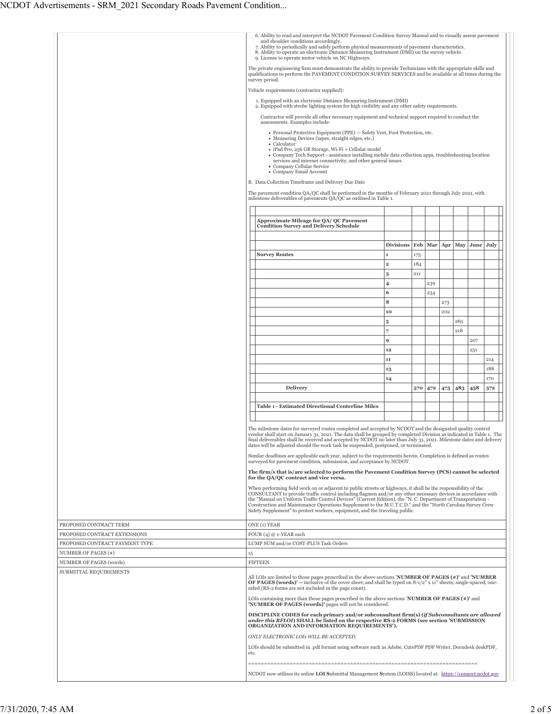|                                |                                                                                                                                                                                                                                                                                                                                                           | 6. Ability to read and interpret the NCDOT Pavement Condition Survey Manual and to visually assess pavement<br>and shoulder conditions accordingly.<br>7. Ability to periodically and safely perform physical measurements of pavement characteristics.<br>8. Ability to operate an electronic Distance Measuring Instrument (DMI) on the survey vehicle.<br>9. License to operate motor vehicle on NC Highways.<br>The private engineering firm must demonstrate the ability to provide Technicians with the appropriate skills and<br>qualifications to perform the PAVEMENT CONDITION SURVEY SERVICES and be available at all times during the<br>survey period.<br>Vehicle requirements (contractor supplied):<br>1. Equipped with an electronic Distance Measuring Instrument (DMI)<br>2. Equipped with strobe lighting system for high visibility and any other safety requirements.<br>Contractor will provide all other necessary equipment and technical support required to conduct the<br>assessments. Examples include:<br>• Personal Protective Equipment (PPE) - Safety Vest, Foot Protection, etc.<br>· Measuring Devices (tapes, straight edges, etc.) |                         |            |     |     |     |           |     |
|--------------------------------|-----------------------------------------------------------------------------------------------------------------------------------------------------------------------------------------------------------------------------------------------------------------------------------------------------------------------------------------------------------|------------------------------------------------------------------------------------------------------------------------------------------------------------------------------------------------------------------------------------------------------------------------------------------------------------------------------------------------------------------------------------------------------------------------------------------------------------------------------------------------------------------------------------------------------------------------------------------------------------------------------------------------------------------------------------------------------------------------------------------------------------------------------------------------------------------------------------------------------------------------------------------------------------------------------------------------------------------------------------------------------------------------------------------------------------------------------------------------------------------------------------------------------------------------|-------------------------|------------|-----|-----|-----|-----------|-----|
|                                | • Calculator<br>· iPad Pro, 256 GB Storage, Wi-Fi + Cellular model<br>• Company Tech Support - assistance installing mobile data collection apps, troubleshooting location<br>services and internet connectivity, and other general issues<br>• Company Cellular Service<br>• Company Email Account<br>B. Data Collection Timeframe and Delivery Due Date |                                                                                                                                                                                                                                                                                                                                                                                                                                                                                                                                                                                                                                                                                                                                                                                                                                                                                                                                                                                                                                                                                                                                                                        |                         |            |     |     |     |           |     |
|                                |                                                                                                                                                                                                                                                                                                                                                           | The pavement condition QA/QC shall be performed in the months of February 2021 through July 2021, with<br>milestone deliverables of pavements QA/QC as outlined in Table 1.                                                                                                                                                                                                                                                                                                                                                                                                                                                                                                                                                                                                                                                                                                                                                                                                                                                                                                                                                                                            |                         |            |     |     |     |           |     |
|                                |                                                                                                                                                                                                                                                                                                                                                           |                                                                                                                                                                                                                                                                                                                                                                                                                                                                                                                                                                                                                                                                                                                                                                                                                                                                                                                                                                                                                                                                                                                                                                        |                         |            |     |     |     |           |     |
|                                |                                                                                                                                                                                                                                                                                                                                                           | Approximate Mileage for QA/ QC Pavement<br><b>Condition Survey and Delivery Schedule</b>                                                                                                                                                                                                                                                                                                                                                                                                                                                                                                                                                                                                                                                                                                                                                                                                                                                                                                                                                                                                                                                                               |                         |            |     |     |     |           |     |
|                                |                                                                                                                                                                                                                                                                                                                                                           | <b>Survey Routes</b>                                                                                                                                                                                                                                                                                                                                                                                                                                                                                                                                                                                                                                                                                                                                                                                                                                                                                                                                                                                                                                                                                                                                                   | <b>Divisions</b><br>1   | Feb<br>175 | Mar | Apr | May | June July |     |
|                                |                                                                                                                                                                                                                                                                                                                                                           |                                                                                                                                                                                                                                                                                                                                                                                                                                                                                                                                                                                                                                                                                                                                                                                                                                                                                                                                                                                                                                                                                                                                                                        | $\overline{\mathbf{2}}$ | 184        |     |     |     |           |     |
|                                |                                                                                                                                                                                                                                                                                                                                                           |                                                                                                                                                                                                                                                                                                                                                                                                                                                                                                                                                                                                                                                                                                                                                                                                                                                                                                                                                                                                                                                                                                                                                                        | 3<br>4                  | 211        | 239 |     |     |           |     |
|                                |                                                                                                                                                                                                                                                                                                                                                           |                                                                                                                                                                                                                                                                                                                                                                                                                                                                                                                                                                                                                                                                                                                                                                                                                                                                                                                                                                                                                                                                                                                                                                        | 6                       |            | 234 |     |     |           |     |
|                                |                                                                                                                                                                                                                                                                                                                                                           |                                                                                                                                                                                                                                                                                                                                                                                                                                                                                                                                                                                                                                                                                                                                                                                                                                                                                                                                                                                                                                                                                                                                                                        | 8                       |            |     | 273 |     |           |     |
|                                |                                                                                                                                                                                                                                                                                                                                                           |                                                                                                                                                                                                                                                                                                                                                                                                                                                                                                                                                                                                                                                                                                                                                                                                                                                                                                                                                                                                                                                                                                                                                                        | 10                      |            |     | 202 |     |           |     |
|                                |                                                                                                                                                                                                                                                                                                                                                           |                                                                                                                                                                                                                                                                                                                                                                                                                                                                                                                                                                                                                                                                                                                                                                                                                                                                                                                                                                                                                                                                                                                                                                        | 5                       |            |     |     | 265 |           |     |
|                                |                                                                                                                                                                                                                                                                                                                                                           |                                                                                                                                                                                                                                                                                                                                                                                                                                                                                                                                                                                                                                                                                                                                                                                                                                                                                                                                                                                                                                                                                                                                                                        | 7                       |            |     |     | 218 |           |     |
|                                |                                                                                                                                                                                                                                                                                                                                                           |                                                                                                                                                                                                                                                                                                                                                                                                                                                                                                                                                                                                                                                                                                                                                                                                                                                                                                                                                                                                                                                                                                                                                                        | 9                       |            |     |     |     | 207       |     |
|                                |                                                                                                                                                                                                                                                                                                                                                           |                                                                                                                                                                                                                                                                                                                                                                                                                                                                                                                                                                                                                                                                                                                                                                                                                                                                                                                                                                                                                                                                                                                                                                        | 12                      |            |     |     |     | 251       |     |
|                                |                                                                                                                                                                                                                                                                                                                                                           |                                                                                                                                                                                                                                                                                                                                                                                                                                                                                                                                                                                                                                                                                                                                                                                                                                                                                                                                                                                                                                                                                                                                                                        | 11                      |            |     |     |     |           | 214 |
|                                |                                                                                                                                                                                                                                                                                                                                                           |                                                                                                                                                                                                                                                                                                                                                                                                                                                                                                                                                                                                                                                                                                                                                                                                                                                                                                                                                                                                                                                                                                                                                                        | 13                      |            |     |     |     |           | 188 |
|                                |                                                                                                                                                                                                                                                                                                                                                           |                                                                                                                                                                                                                                                                                                                                                                                                                                                                                                                                                                                                                                                                                                                                                                                                                                                                                                                                                                                                                                                                                                                                                                        | 14                      |            |     |     |     |           | 170 |
|                                |                                                                                                                                                                                                                                                                                                                                                           | Delivery                                                                                                                                                                                                                                                                                                                                                                                                                                                                                                                                                                                                                                                                                                                                                                                                                                                                                                                                                                                                                                                                                                                                                               |                         | 570        | 472 | 475 | 483 | 458       | 572 |
|                                |                                                                                                                                                                                                                                                                                                                                                           |                                                                                                                                                                                                                                                                                                                                                                                                                                                                                                                                                                                                                                                                                                                                                                                                                                                                                                                                                                                                                                                                                                                                                                        |                         |            |     |     |     |           |     |
|                                |                                                                                                                                                                                                                                                                                                                                                           | <b>Table 1 - Estimated Directional Centerline Miles</b>                                                                                                                                                                                                                                                                                                                                                                                                                                                                                                                                                                                                                                                                                                                                                                                                                                                                                                                                                                                                                                                                                                                |                         |            |     |     |     |           |     |
|                                |                                                                                                                                                                                                                                                                                                                                                           |                                                                                                                                                                                                                                                                                                                                                                                                                                                                                                                                                                                                                                                                                                                                                                                                                                                                                                                                                                                                                                                                                                                                                                        |                         |            |     |     |     |           |     |
|                                |                                                                                                                                                                                                                                                                                                                                                           | The milestone dates for surveyed routes completed and accepted by NCDOT and the designated quality control<br>vendor shall start on January 31, 2021. The data shall be grouped by completed Division as indicated in Table 1. The<br>final deliverables shall be received and accepted by NCDOT no later than July 31, 2021. Milestone dates and delivery<br>dates will be adjusted should the work task be suspended, postponed, or terminated.<br>Similar deadlines are applicable each year, subject to the requirements herein. Completion is defined as routes<br>surveyed for pavement condition, submission, and acceptance by NCDOT.                                                                                                                                                                                                                                                                                                                                                                                                                                                                                                                          |                         |            |     |     |     |           |     |
|                                |                                                                                                                                                                                                                                                                                                                                                           | The firm/s that is/are selected to perform the Pavement Condition Survey (PCS) cannot be selected<br>for the QA/QC contract and vice versa.                                                                                                                                                                                                                                                                                                                                                                                                                                                                                                                                                                                                                                                                                                                                                                                                                                                                                                                                                                                                                            |                         |            |     |     |     |           |     |
|                                |                                                                                                                                                                                                                                                                                                                                                           | When performing field work on or adjacent to public streets or highways, it shall be the responsibility of the<br>CONSULTANT to provide traffic control including flagmen and/or any other necessary devices in accordance with<br>the "Manual on Uniform Traffic Control Devices" (Current Edition), the "N. C. Department of Transportation -<br>Construction and Maintenance Operations Supplement to the M.U.T.C.D." and the "North Carolina Survey Crew<br>Safety Supplement" to protect workers, equipment, and the traveling public.                                                                                                                                                                                                                                                                                                                                                                                                                                                                                                                                                                                                                            |                         |            |     |     |     |           |     |
| PROPOSED CONTRACT TERM         |                                                                                                                                                                                                                                                                                                                                                           | ONE (1) YEAR                                                                                                                                                                                                                                                                                                                                                                                                                                                                                                                                                                                                                                                                                                                                                                                                                                                                                                                                                                                                                                                                                                                                                           |                         |            |     |     |     |           |     |
| PROPOSED CONTRACT EXTENSIONS   |                                                                                                                                                                                                                                                                                                                                                           | FOUR $(4) @ 1$ -YEAR each                                                                                                                                                                                                                                                                                                                                                                                                                                                                                                                                                                                                                                                                                                                                                                                                                                                                                                                                                                                                                                                                                                                                              |                         |            |     |     |     |           |     |
| PROPOSED CONTRACT PAYMENT TYPE |                                                                                                                                                                                                                                                                                                                                                           | LUMP SUM and/or COST-PLUS Task Orders                                                                                                                                                                                                                                                                                                                                                                                                                                                                                                                                                                                                                                                                                                                                                                                                                                                                                                                                                                                                                                                                                                                                  |                         |            |     |     |     |           |     |
| NUMBER OF PAGES (#)            | 15                                                                                                                                                                                                                                                                                                                                                        |                                                                                                                                                                                                                                                                                                                                                                                                                                                                                                                                                                                                                                                                                                                                                                                                                                                                                                                                                                                                                                                                                                                                                                        |                         |            |     |     |     |           |     |
| NUMBER OF PAGES (words)        |                                                                                                                                                                                                                                                                                                                                                           | <b>FIFTEEN</b>                                                                                                                                                                                                                                                                                                                                                                                                                                                                                                                                                                                                                                                                                                                                                                                                                                                                                                                                                                                                                                                                                                                                                         |                         |            |     |     |     |           |     |
| SUBMITTAL REQUIREMENTS         |                                                                                                                                                                                                                                                                                                                                                           | All LOIs are limited to those pages prescribed in the above sections 'NUMBER OF PAGES $(*)'$ ' and 'NUMBER<br><b>OF PAGES (words)'</b> -- inclusive of the cover sheet, and shall be typed on $8-1/2$ " x 11" sheets, single-spaced, one-<br>sided (RS-2 forms are not included in the page count).                                                                                                                                                                                                                                                                                                                                                                                                                                                                                                                                                                                                                                                                                                                                                                                                                                                                    |                         |            |     |     |     |           |     |
|                                |                                                                                                                                                                                                                                                                                                                                                           | LOIs containing more than those pages prescribed in the above sections 'NUMBER OF PAGES $(*)$ ' and<br>'NUMBER OF PAGES (words)' pages will not be considered.                                                                                                                                                                                                                                                                                                                                                                                                                                                                                                                                                                                                                                                                                                                                                                                                                                                                                                                                                                                                         |                         |            |     |     |     |           |     |
|                                |                                                                                                                                                                                                                                                                                                                                                           | DISCIPLINE CODES for each primary and/or subconsultant firm(s) (if Subconsultants are allowed<br>under this RFLOI) SHALL be listed on the respective RS-2 FORMS (see section 'SUBMISSION<br>ORGANIZATION AND INFORMATION REQUIREMENTS').                                                                                                                                                                                                                                                                                                                                                                                                                                                                                                                                                                                                                                                                                                                                                                                                                                                                                                                               |                         |            |     |     |     |           |     |
|                                |                                                                                                                                                                                                                                                                                                                                                           | ONLY ELECTRONIC LOIS WILL BE ACCEPTED.                                                                                                                                                                                                                                                                                                                                                                                                                                                                                                                                                                                                                                                                                                                                                                                                                                                                                                                                                                                                                                                                                                                                 |                         |            |     |     |     |           |     |
|                                | etc.                                                                                                                                                                                                                                                                                                                                                      | LOIs should be submitted in .pdf format using software such as Adobe, CutePDF PDF Writer, Docudesk deskPDF,                                                                                                                                                                                                                                                                                                                                                                                                                                                                                                                                                                                                                                                                                                                                                                                                                                                                                                                                                                                                                                                            |                         |            |     |     |     |           |     |
|                                |                                                                                                                                                                                                                                                                                                                                                           | NCDOT now utilizes its online <b>LOI Submittal Management System</b> (LOISS) located at: https://connect.ncdot.gov                                                                                                                                                                                                                                                                                                                                                                                                                                                                                                                                                                                                                                                                                                                                                                                                                                                                                                                                                                                                                                                     |                         |            |     |     |     |           |     |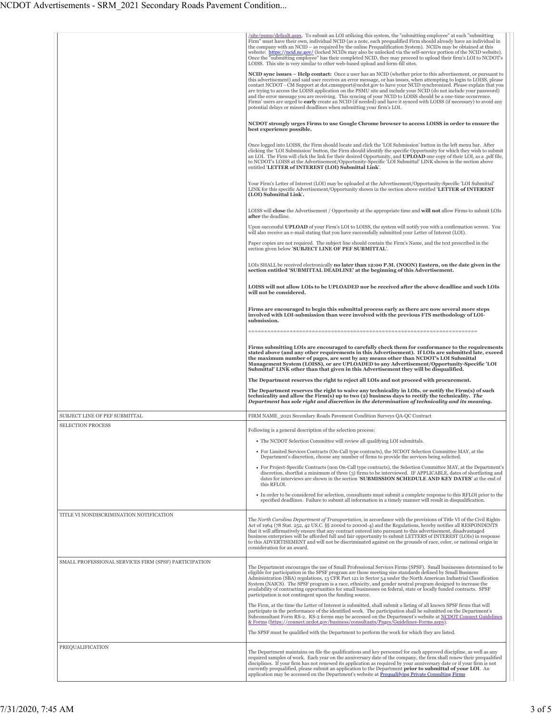|                                                       | (site/psmu/default.aspx. To submit an LOI utilizing this system, the "submitting employee" at each "submitting<br>Firm" must have their own, individual NCID (as a note, each prequalified Firm should already have an individual in<br>the company with an NCID – as required by the online Prequalification System). NCIDs may be obtained at this<br>website: https://ncid.nc.gov/ (locked NCIDs may also be unlocked via the self-service portion of the NCID website).<br>Once the "submitting employee" has their completed NCID, they may proceed to upload their firm's LOI to NCDOT's<br>LOISS. This site is very similar to other web-based upload and form-fill sites.                                                                                                                   |
|-------------------------------------------------------|-----------------------------------------------------------------------------------------------------------------------------------------------------------------------------------------------------------------------------------------------------------------------------------------------------------------------------------------------------------------------------------------------------------------------------------------------------------------------------------------------------------------------------------------------------------------------------------------------------------------------------------------------------------------------------------------------------------------------------------------------------------------------------------------------------|
|                                                       | <b>NCID sync issues – Help contact:</b> Once a user has an NCID (whether prior to this advertisement, or pursuant to<br>this advertisement) and said user receives an error message, or has issues, when attempting to login to LOISS, please<br>contact NCDOT - CM Support at dot.cmsupport@ncdot.gov to have your NCID synchronized. Please explain that you<br>are trying to access the LOISS application on the PSMU site and include your NCID (do not include your password)<br>and the error message you are receiving. This syncing of your NCID to LOISS should be a one-time occurrence.<br>Firms' users are urged to early create an NCID (if needed) and have it synced with LOISS (if necessary) to avoid any<br>potential delays or missed deadlines when submitting your firm's LOI. |
|                                                       | NCDOT strongly urges Firms to use Google Chrome browser to access LOISS in order to ensure the<br>best experience possible.                                                                                                                                                                                                                                                                                                                                                                                                                                                                                                                                                                                                                                                                         |
|                                                       | Once logged into LOISS, the Firm should locate and click the 'LOI Submission' button in the left menu bar. After<br>clicking the 'LOI Submission' button, the Firm should identify the specific Opportunity for which they wish to submit<br>an LOI. The Firm will click the link for their desired Opportunity, and UPLOAD one copy of their LOI, as a .pdf file,<br>to NCDOT's LOISS at the Advertisement/Opportunity-Specific 'LOI Submittal' LINK shown in the section above<br>entitled 'LETTER of INTEREST (LOI) Submittal Link'.                                                                                                                                                                                                                                                             |
|                                                       | Your Firm's Letter of Interest (LOI) may be uploaded at the Advertisement/Opportunity-Specific 'LOI Submittal'<br>LINK for this specific Advertisement/Opportunity shown in the section above entitled 'LETTER of INTEREST<br>(LOI) Submittal Link.                                                                                                                                                                                                                                                                                                                                                                                                                                                                                                                                                 |
|                                                       | LOISS will <b>close</b> the Advertisement / Opportunity at the appropriate time and <b>will not</b> allow Firms to submit LOIs<br>after the deadline.                                                                                                                                                                                                                                                                                                                                                                                                                                                                                                                                                                                                                                               |
|                                                       | Upon successful UPLOAD of your Firm's LOI to LOISS, the system will notify you with a confirmation screen. You<br>will also receive an e-mail stating that you have successfully submitted your Letter of Interest (LOI).                                                                                                                                                                                                                                                                                                                                                                                                                                                                                                                                                                           |
|                                                       | Paper copies are not required. The subject line should contain the Firm's Name, and the text prescribed in the<br>section given below 'SUBJECT LINE OF PEF SUBMITTAL'.                                                                                                                                                                                                                                                                                                                                                                                                                                                                                                                                                                                                                              |
|                                                       | LOIs SHALL be received electronically no later than 12:00 P.M. (NOON) Eastern, on the date given in the<br>section entitled 'SUBMITTAL DEADLINE' at the beginning of this Advertisement.                                                                                                                                                                                                                                                                                                                                                                                                                                                                                                                                                                                                            |
|                                                       | LOISS will not allow LOIs to be UPLOADED nor be received after the above deadline and such LOIs<br>will not be considered.                                                                                                                                                                                                                                                                                                                                                                                                                                                                                                                                                                                                                                                                          |
|                                                       | Firms are encouraged to begin this submittal process early as there are now several more steps<br>involved with LOI-submission than were involved with the previous FTS methodology of LOI-<br>submission.                                                                                                                                                                                                                                                                                                                                                                                                                                                                                                                                                                                          |
|                                                       | Firms submitting LOIs are encouraged to carefully check them for conformance to the requirements<br>stated above (and any other requirements in this Advertisement). If LOIs are submitted late, exceed<br>the maximum number of pages, are sent by any means other than NCDOT's LOI Submittal<br>Management System (LOISS), or are UPLOADED to any Advertisement/Opportunity-Specific 'LOI<br>Submittal' LINK other than that given in this Advertisement they will be disqualified.                                                                                                                                                                                                                                                                                                               |
|                                                       | The Department reserves the right to reject all LOIs and not proceed with procurement.                                                                                                                                                                                                                                                                                                                                                                                                                                                                                                                                                                                                                                                                                                              |
|                                                       | The Department reserves the right to waive any technicality in LOIs, or notify the Firm(s) of such<br>technicality and allow the Firm(s) up to two (2) business days to rectify the technicality. The<br>Department has sole right and discretion in the determination of technicality and its meaning.                                                                                                                                                                                                                                                                                                                                                                                                                                                                                             |
| SUBJECT LINE OF PEF SUBMITTAL                         | FIRM NAME_2021 Secondary Roads Pavement Condition Surveys QA-QC Contract                                                                                                                                                                                                                                                                                                                                                                                                                                                                                                                                                                                                                                                                                                                            |
| SELECTION PROCESS                                     |                                                                                                                                                                                                                                                                                                                                                                                                                                                                                                                                                                                                                                                                                                                                                                                                     |
|                                                       | Following is a general description of the selection process:<br>• The NCDOT Selection Committee will review all qualifying LOI submittals.                                                                                                                                                                                                                                                                                                                                                                                                                                                                                                                                                                                                                                                          |
|                                                       | • For Limited Services Contracts (On-Call type contracts), the NCDOT Selection Committee MAY, at the<br>Department's discretion, choose any number of firms to provide the services being solicited.                                                                                                                                                                                                                                                                                                                                                                                                                                                                                                                                                                                                |
|                                                       | • For Project-Specific Contracts (non On-Call type contracts), the Selection Committee MAY, at the Department's<br>discretion, shortlist a minimum of three (3) firms to be interviewed. IF APPLICABLE, dates of shortlisting and<br>dates for interviews are shown in the section 'SUBMISSION SCHEDULE AND KEY DATES' at the end of<br>this RFLOI.                                                                                                                                                                                                                                                                                                                                                                                                                                                 |
|                                                       | • In order to be considered for selection, consultants must submit a complete response to this RFLOI prior to the<br>specified deadlines. Failure to submit all information in a timely manner will result in disqualification.                                                                                                                                                                                                                                                                                                                                                                                                                                                                                                                                                                     |
| TITLE VI NONDISCRIMINATION NOTIFICATION               | The North Carolina Department of Transportation, in accordance with the provisions of Title VI of the Civil Rights<br>Act of 1964 (78 Stat. 252, 42 US.C. §§ 2000d to 2000d-4) and the Regulations, hereby notifies all RESPONDENTS<br>that it will affirmatively ensure that any contract entered into pursuant to this advertisement, disadvantaged<br>business enterprises will be afforded full and fair opportunity to submit LETTERS of INTEREST (LOIs) in response<br>to this ADVERTISEMENT and will not be discriminated against on the grounds of race, color, or national origin in<br>consideration for an award.                                                                                                                                                                        |
| SMALL PROFESSIONAL SERVICES FIRM (SPSF) PARTICIPATION |                                                                                                                                                                                                                                                                                                                                                                                                                                                                                                                                                                                                                                                                                                                                                                                                     |
|                                                       | The Department encourages the use of Small Professional Services Firms (SPSF). Small businesses determined to be<br>eligible for participation in the SPSF program are those meeting size standards defined by Small Business<br>Administration (SBA) regulations, 13 CFR Part 121 in Sector 54 under the North American Industrial Classification<br>System (NAICS). The SPSF program is a race, ethnicity, and gender neutral program designed to increase the<br>availability of contracting opportunities for small businesses on federal, state or locally funded contracts. SPSF<br>participation is not contingent upon the funding source.                                                                                                                                                  |
|                                                       | The Firm, at the time the Letter of Interest is submitted, shall submit a listing of all known SPSF firms that will<br>participate in the performance of the identified work. The participation shall be submitted on the Department's<br>Subconsultant Form RS-2. RS-2 forms may be accessed on the Department's website at NCDOT Connect Guidelines<br>& Forms (https://connect.ncdot.gov/business/consultants/Pages/Guidelines-Forms.aspx).                                                                                                                                                                                                                                                                                                                                                      |
|                                                       | The SPSF must be qualified with the Department to perform the work for which they are listed.                                                                                                                                                                                                                                                                                                                                                                                                                                                                                                                                                                                                                                                                                                       |
| PREQUALIFICATION                                      |                                                                                                                                                                                                                                                                                                                                                                                                                                                                                                                                                                                                                                                                                                                                                                                                     |
|                                                       | The Department maintains on file the qualifications and key personnel for each approved discipline, as well as any<br>required samples of work. Each year on the anniversary date of the company, the firm shall renew their prequalified<br>disciplines. If your firm has not renewed its application as required by your anniversary date or if your firm is not<br>currently prequalified, please submit an application to the Department prior to submittal of your LOI. An<br>application may be accessed on the Department's website at Prequalifying Private Consulting Firms                                                                                                                                                                                                                |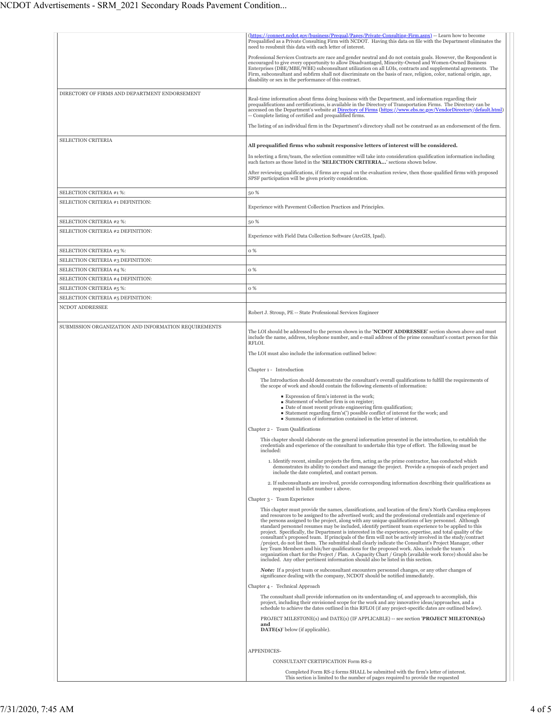|                                                               | (https://connect.ncdot.gov/business/Prequal/Pages/Private-Consulting-Firm.aspx) -- Learn how to become<br>Prequalified as a Private Consulting Firm with NCDOT. Having this data on file with the Department eliminates the<br>need to resubmit this data with each letter of interest.                                                                                                                                                                                                                                                                                                                                                                                                                                                                                                                                                                                                                                                                                                                                                                                     |
|---------------------------------------------------------------|-----------------------------------------------------------------------------------------------------------------------------------------------------------------------------------------------------------------------------------------------------------------------------------------------------------------------------------------------------------------------------------------------------------------------------------------------------------------------------------------------------------------------------------------------------------------------------------------------------------------------------------------------------------------------------------------------------------------------------------------------------------------------------------------------------------------------------------------------------------------------------------------------------------------------------------------------------------------------------------------------------------------------------------------------------------------------------|
|                                                               | Professional Services Contracts are race and gender neutral and do not contain goals. However, the Respondent is<br>encouraged to give every opportunity to allow Disadvantaged, Minority-Owned and Women-Owned Business<br>Enterprises (DBE/MBE/WBE) subconsultant utilization on all LOIs, contracts and supplemental agreements. The<br>Firm, subconsultant and subfirm shall not discriminate on the basis of race, religion, color, national origin, age,<br>disability or sex in the performance of this contract.                                                                                                                                                                                                                                                                                                                                                                                                                                                                                                                                                    |
| DIRECTORY OF FIRMS AND DEPARTMENT ENDORSEMENT                 | Real-time information about firms doing business with the Department, and information regarding their<br>prequalifications and certifications, is available in the Directory of Transportation Firms. The Directory can be<br>accessed on the Department's website at Directory of Firms (https://www.ebs.nc.gov/VendorDirectory/default.html)<br>-- Complete listing of certified and prequalified firms.                                                                                                                                                                                                                                                                                                                                                                                                                                                                                                                                                                                                                                                                  |
|                                                               | The listing of an individual firm in the Department's directory shall not be construed as an endorsement of the firm.                                                                                                                                                                                                                                                                                                                                                                                                                                                                                                                                                                                                                                                                                                                                                                                                                                                                                                                                                       |
| <b>SELECTION CRITERIA</b>                                     | All prequalified firms who submit responsive letters of interest will be considered.<br>In selecting a firm/team, the selection committee will take into consideration qualification information including<br>such factors as those listed in the 'SELECTION CRITERIA' sections shown below.<br>After reviewing qualifications, if firms are equal on the evaluation review, then those qualified firms with proposed                                                                                                                                                                                                                                                                                                                                                                                                                                                                                                                                                                                                                                                       |
|                                                               | SPSF participation will be given priority consideration.                                                                                                                                                                                                                                                                                                                                                                                                                                                                                                                                                                                                                                                                                                                                                                                                                                                                                                                                                                                                                    |
| SELECTION CRITERIA #1 %:                                      | 50 %                                                                                                                                                                                                                                                                                                                                                                                                                                                                                                                                                                                                                                                                                                                                                                                                                                                                                                                                                                                                                                                                        |
| SELECTION CRITERIA #1 DEFINITION:                             | Experience with Pavement Collection Practices and Principles.                                                                                                                                                                                                                                                                                                                                                                                                                                                                                                                                                                                                                                                                                                                                                                                                                                                                                                                                                                                                               |
| SELECTION CRITERIA #2 %:                                      | 50 %                                                                                                                                                                                                                                                                                                                                                                                                                                                                                                                                                                                                                                                                                                                                                                                                                                                                                                                                                                                                                                                                        |
| SELECTION CRITERIA #2 DEFINITION:                             | Experience with Field Data Collection Software (ArcGIS, Ipad).                                                                                                                                                                                                                                                                                                                                                                                                                                                                                                                                                                                                                                                                                                                                                                                                                                                                                                                                                                                                              |
| SELECTION CRITERIA #3 %:                                      | o %                                                                                                                                                                                                                                                                                                                                                                                                                                                                                                                                                                                                                                                                                                                                                                                                                                                                                                                                                                                                                                                                         |
| SELECTION CRITERIA #3 DEFINITION:                             |                                                                                                                                                                                                                                                                                                                                                                                                                                                                                                                                                                                                                                                                                                                                                                                                                                                                                                                                                                                                                                                                             |
| SELECTION CRITERIA #4 %:                                      | 0 %                                                                                                                                                                                                                                                                                                                                                                                                                                                                                                                                                                                                                                                                                                                                                                                                                                                                                                                                                                                                                                                                         |
| SELECTION CRITERIA #4 DEFINITION:<br>SELECTION CRITERIA #5 %: | 0 %                                                                                                                                                                                                                                                                                                                                                                                                                                                                                                                                                                                                                                                                                                                                                                                                                                                                                                                                                                                                                                                                         |
| SELECTION CRITERIA #5 DEFINITION:                             |                                                                                                                                                                                                                                                                                                                                                                                                                                                                                                                                                                                                                                                                                                                                                                                                                                                                                                                                                                                                                                                                             |
| NCDOT ADDRESSEE                                               |                                                                                                                                                                                                                                                                                                                                                                                                                                                                                                                                                                                                                                                                                                                                                                                                                                                                                                                                                                                                                                                                             |
|                                                               | Robert J. Stroup, PE -- State Professional Services Engineer                                                                                                                                                                                                                                                                                                                                                                                                                                                                                                                                                                                                                                                                                                                                                                                                                                                                                                                                                                                                                |
| SUBMISSION ORGANIZATION AND INFORMATION REQUIREMENTS          | The LOI should be addressed to the person shown in the 'NCDOT ADDRESSEE' section shown above and must<br>include the name, address, telephone number, and e-mail address of the prime consultant's contact person for this<br>RFLOI.                                                                                                                                                                                                                                                                                                                                                                                                                                                                                                                                                                                                                                                                                                                                                                                                                                        |
|                                                               | The LOI must also include the information outlined below:                                                                                                                                                                                                                                                                                                                                                                                                                                                                                                                                                                                                                                                                                                                                                                                                                                                                                                                                                                                                                   |
|                                                               | Chapter 1 - Introduction                                                                                                                                                                                                                                                                                                                                                                                                                                                                                                                                                                                                                                                                                                                                                                                                                                                                                                                                                                                                                                                    |
|                                                               | The Introduction should demonstrate the consultant's overall qualifications to fulfill the requirements of<br>the scope of work and should contain the following elements of information:                                                                                                                                                                                                                                                                                                                                                                                                                                                                                                                                                                                                                                                                                                                                                                                                                                                                                   |
|                                                               | Expression of firm's interest in the work;<br>• Statement of whether firm is on register;<br>Date of most recent private engineering firm qualification;<br>■ Statement regarding firm's(') possible conflict of interest for the work; and<br>• Summation of information contained in the letter of interest.                                                                                                                                                                                                                                                                                                                                                                                                                                                                                                                                                                                                                                                                                                                                                              |
|                                                               | Chapter 2 - Team Qualifications                                                                                                                                                                                                                                                                                                                                                                                                                                                                                                                                                                                                                                                                                                                                                                                                                                                                                                                                                                                                                                             |
|                                                               | This chapter should elaborate on the general information presented in the introduction, to establish the<br>credentials and experience of the consultant to undertake this type of effort. The following must be<br>included:                                                                                                                                                                                                                                                                                                                                                                                                                                                                                                                                                                                                                                                                                                                                                                                                                                               |
|                                                               | 1. Identify recent, similar projects the firm, acting as the prime contractor, has conducted which<br>demonstrates its ability to conduct and manage the project. Provide a synopsis of each project and<br>include the date completed, and contact person.                                                                                                                                                                                                                                                                                                                                                                                                                                                                                                                                                                                                                                                                                                                                                                                                                 |
|                                                               | 2. If subconsultants are involved, provide corresponding information describing their qualifications as<br>requested in bullet number 1 above.                                                                                                                                                                                                                                                                                                                                                                                                                                                                                                                                                                                                                                                                                                                                                                                                                                                                                                                              |
|                                                               | Chapter 3 - Team Experience                                                                                                                                                                                                                                                                                                                                                                                                                                                                                                                                                                                                                                                                                                                                                                                                                                                                                                                                                                                                                                                 |
|                                                               | This chapter must provide the names, classifications, and location of the firm's North Carolina employees<br>and resources to be assigned to the advertised work; and the professional credentials and experience of<br>the persons assigned to the project, along with any unique qualifications of key personnel. Although<br>standard personnel resumes may be included, identify pertinent team experience to be applied to this<br>project. Specifically, the Department is interested in the experience, expertise, and total quality of the<br>consultant's proposed team. If principals of the firm will not be actively involved in the study/contract<br>/project, do not list them. The submittal shall clearly indicate the Consultant's Project Manager, other<br>key Team Members and his/her qualifications for the proposed work. Also, include the team's<br>organization chart for the Project / Plan. A Capacity Chart / Graph (available work force) should also be<br>included. Any other pertinent information should also be listed in this section. |
|                                                               | <b>Note:</b> If a project team or subconsultant encounters personnel changes, or any other changes of<br>significance dealing with the company, NCDOT should be notified immediately.                                                                                                                                                                                                                                                                                                                                                                                                                                                                                                                                                                                                                                                                                                                                                                                                                                                                                       |
|                                                               | Chapter 4 - Technical Approach                                                                                                                                                                                                                                                                                                                                                                                                                                                                                                                                                                                                                                                                                                                                                                                                                                                                                                                                                                                                                                              |
|                                                               | The consultant shall provide information on its understanding of, and approach to accomplish, this<br>project, including their envisioned scope for the work and any innovative ideas/approaches, and a<br>schedule to achieve the dates outlined in this RFLOI (if any project-specific dates are outlined below).                                                                                                                                                                                                                                                                                                                                                                                                                                                                                                                                                                                                                                                                                                                                                         |
|                                                               | PROJECT MILESTONE(s) and DATE(s) (IF APPLICABLE) -- see section 'PROJECT MILETONE(s)<br>and<br>DATE(s)' below (if applicable).                                                                                                                                                                                                                                                                                                                                                                                                                                                                                                                                                                                                                                                                                                                                                                                                                                                                                                                                              |
|                                                               | APPENDICES-                                                                                                                                                                                                                                                                                                                                                                                                                                                                                                                                                                                                                                                                                                                                                                                                                                                                                                                                                                                                                                                                 |
|                                                               | CONSULTANT CERTIFICATION Form RS-2                                                                                                                                                                                                                                                                                                                                                                                                                                                                                                                                                                                                                                                                                                                                                                                                                                                                                                                                                                                                                                          |
|                                                               | Completed Form RS-2 forms SHALL be submitted with the firm's letter of interest.<br>This section is limited to the number of pages required to provide the requested                                                                                                                                                                                                                                                                                                                                                                                                                                                                                                                                                                                                                                                                                                                                                                                                                                                                                                        |